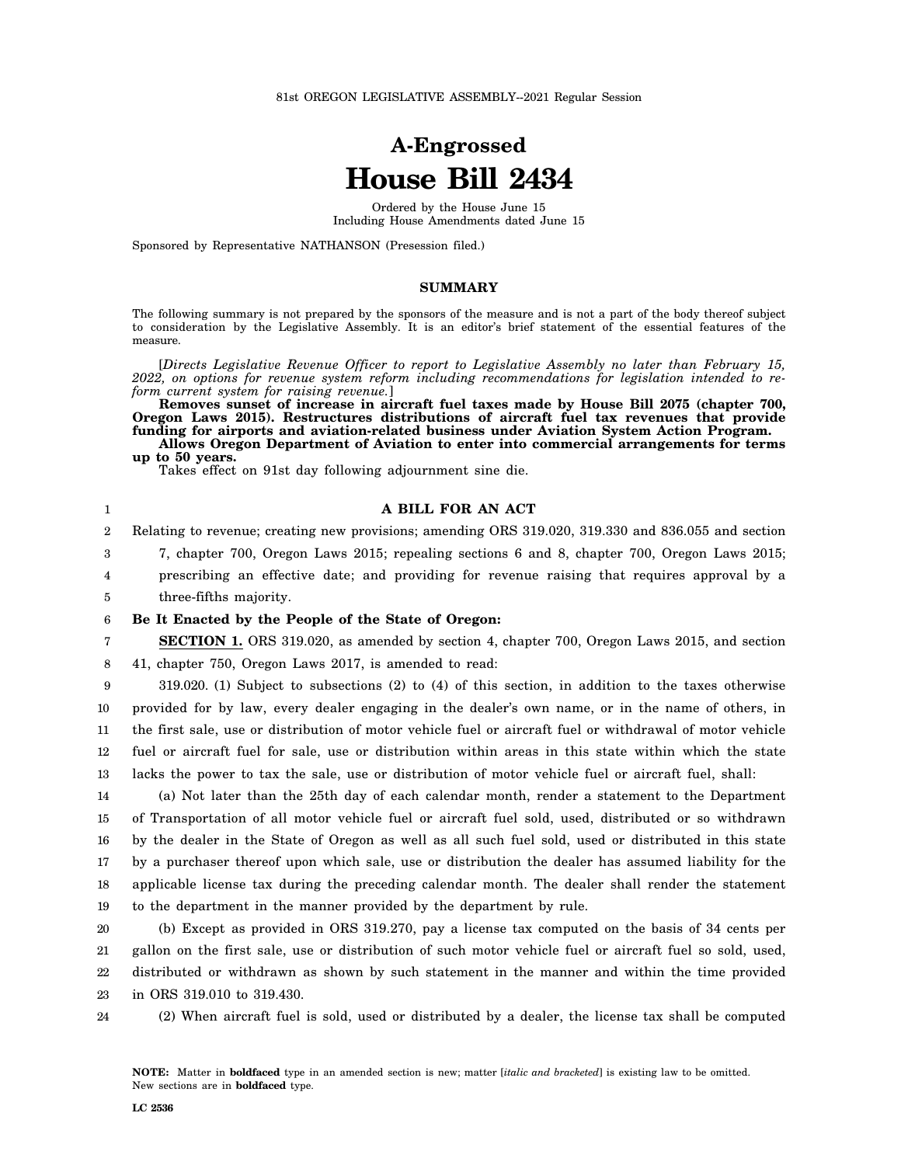# **A-Engrossed House Bill 2434**

Ordered by the House June 15 Including House Amendments dated June 15

Sponsored by Representative NATHANSON (Presession filed.)

#### **SUMMARY**

The following summary is not prepared by the sponsors of the measure and is not a part of the body thereof subject to consideration by the Legislative Assembly. It is an editor's brief statement of the essential features of the measure.

[*Directs Legislative Revenue Officer to report to Legislative Assembly no later than February 15, 2022, on options for revenue system reform including recommendations for legislation intended to reform current system for raising revenue.*]

**Removes sunset of increase in aircraft fuel taxes made by House Bill 2075 (chapter 700, Oregon Laws 2015). Restructures distributions of aircraft fuel tax revenues that provide funding for airports and aviation-related business under Aviation System Action Program. Allows Oregon Department of Aviation to enter into commercial arrangements for terms up to 50 years.**

Takes effect on 91st day following adjournment sine die.

| $\mathbf{1}$     | A BILL FOR AN ACT                                                                                         |
|------------------|-----------------------------------------------------------------------------------------------------------|
| $\boldsymbol{2}$ | Relating to revenue; creating new provisions; amending ORS 319.020, 319.330 and 836.055 and section       |
| 3                | 7, chapter 700, Oregon Laws 2015; repealing sections 6 and 8, chapter 700, Oregon Laws 2015;              |
| 4                | prescribing an effective date; and providing for revenue raising that requires approval by a              |
| 5                | three-fifths majority.                                                                                    |
| 6                | Be It Enacted by the People of the State of Oregon:                                                       |
| 7                | <b>SECTION 1.</b> ORS 319.020, as amended by section 4, chapter 700, Oregon Laws 2015, and section        |
| 8                | 41, chapter 750, Oregon Laws 2017, is amended to read:                                                    |
| 9                | $319.020$ . (1) Subject to subsections (2) to (4) of this section, in addition to the taxes otherwise     |
| 10               | provided for by law, every dealer engaging in the dealer's own name, or in the name of others, in         |
| 11               | the first sale, use or distribution of motor vehicle fuel or aircraft fuel or withdrawal of motor vehicle |
| 12               | fuel or aircraft fuel for sale, use or distribution within areas in this state within which the state     |
| 13               | lacks the power to tax the sale, use or distribution of motor vehicle fuel or aircraft fuel, shall:       |
| 14               | (a) Not later than the 25th day of each calendar month, render a statement to the Department              |
| 15               | of Transportation of all motor vehicle fuel or aircraft fuel sold, used, distributed or so withdrawn      |
| 16               | by the dealer in the State of Oregon as well as all such fuel sold, used or distributed in this state     |
| 17               | by a purchaser thereof upon which sale, use or distribution the dealer has assumed liability for the      |
| 18               | applicable license tax during the preceding calendar month. The dealer shall render the statement         |
| 19               | to the department in the manner provided by the department by rule.                                       |
| 20               | (b) Except as provided in ORS 319.270, pay a license tax computed on the basis of 34 cents per            |
| 21               | gallon on the first sale, use or distribution of such motor vehicle fuel or aircraft fuel so sold, used,  |
| 22               | distributed or withdrawn as shown by such statement in the manner and within the time provided            |
| 23               | in ORS 319.010 to 319.430.                                                                                |
|                  |                                                                                                           |

24 (2) When aircraft fuel is sold, used or distributed by a dealer, the license tax shall be computed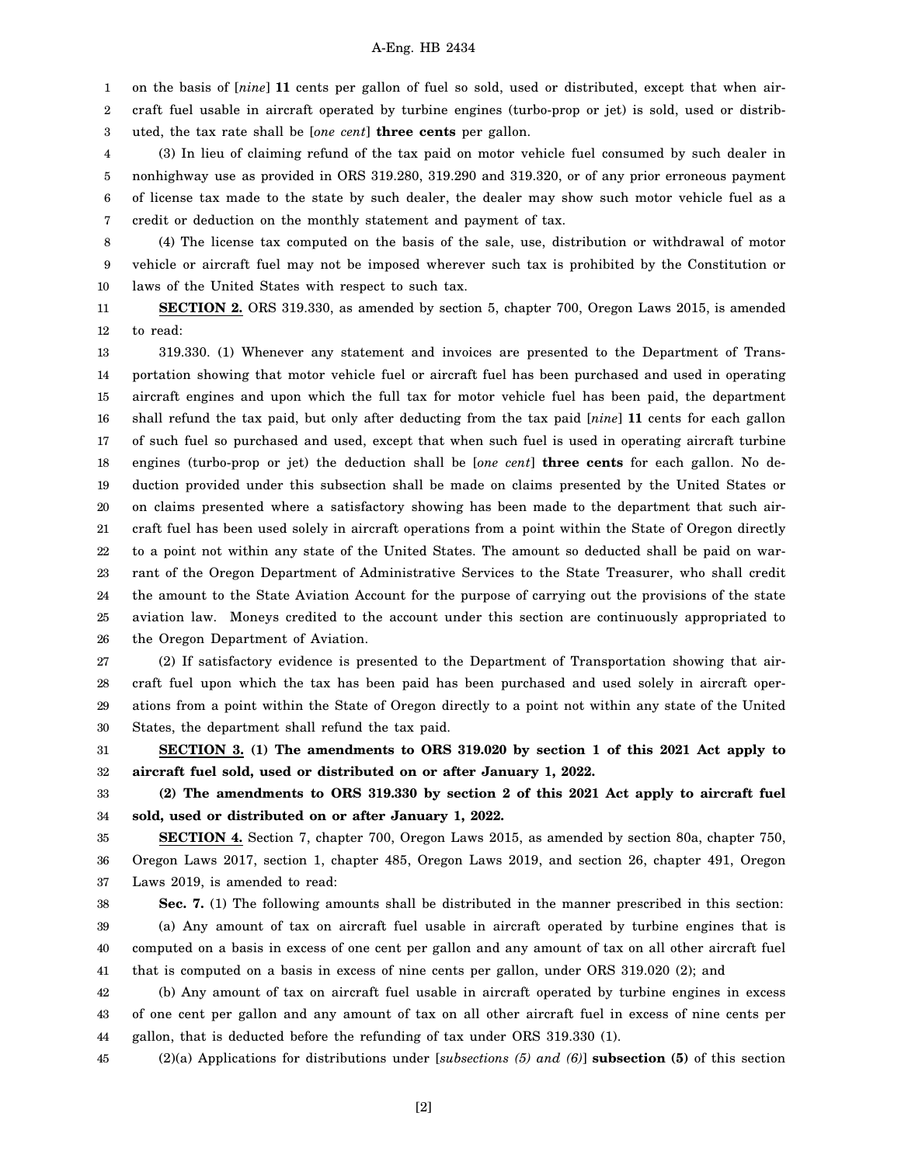#### A-Eng. HB 2434

1 2 on the basis of [*nine*] **11** cents per gallon of fuel so sold, used or distributed, except that when aircraft fuel usable in aircraft operated by turbine engines (turbo-prop or jet) is sold, used or distrib-

3 uted, the tax rate shall be [*one cent*] **three cents** per gallon.

4 5 6 7 (3) In lieu of claiming refund of the tax paid on motor vehicle fuel consumed by such dealer in nonhighway use as provided in ORS 319.280, 319.290 and 319.320, or of any prior erroneous payment of license tax made to the state by such dealer, the dealer may show such motor vehicle fuel as a credit or deduction on the monthly statement and payment of tax.

8 9 10 (4) The license tax computed on the basis of the sale, use, distribution or withdrawal of motor vehicle or aircraft fuel may not be imposed wherever such tax is prohibited by the Constitution or laws of the United States with respect to such tax.

11 12 **SECTION 2.** ORS 319.330, as amended by section 5, chapter 700, Oregon Laws 2015, is amended to read:

13 14 15 16 17 18 19 20 21 22 23 24 25 26 319.330. (1) Whenever any statement and invoices are presented to the Department of Transportation showing that motor vehicle fuel or aircraft fuel has been purchased and used in operating aircraft engines and upon which the full tax for motor vehicle fuel has been paid, the department shall refund the tax paid, but only after deducting from the tax paid [*nine*] **11** cents for each gallon of such fuel so purchased and used, except that when such fuel is used in operating aircraft turbine engines (turbo-prop or jet) the deduction shall be [*one cent*] **three cents** for each gallon. No deduction provided under this subsection shall be made on claims presented by the United States or on claims presented where a satisfactory showing has been made to the department that such aircraft fuel has been used solely in aircraft operations from a point within the State of Oregon directly to a point not within any state of the United States. The amount so deducted shall be paid on warrant of the Oregon Department of Administrative Services to the State Treasurer, who shall credit the amount to the State Aviation Account for the purpose of carrying out the provisions of the state aviation law. Moneys credited to the account under this section are continuously appropriated to the Oregon Department of Aviation.

27 28 29 30 (2) If satisfactory evidence is presented to the Department of Transportation showing that aircraft fuel upon which the tax has been paid has been purchased and used solely in aircraft operations from a point within the State of Oregon directly to a point not within any state of the United States, the department shall refund the tax paid.

31 32 **SECTION 3. (1) The amendments to ORS 319.020 by section 1 of this 2021 Act apply to aircraft fuel sold, used or distributed on or after January 1, 2022.**

33 34 **(2) The amendments to ORS 319.330 by section 2 of this 2021 Act apply to aircraft fuel sold, used or distributed on or after January 1, 2022.**

35 36 37 **SECTION 4.** Section 7, chapter 700, Oregon Laws 2015, as amended by section 80a, chapter 750, Oregon Laws 2017, section 1, chapter 485, Oregon Laws 2019, and section 26, chapter 491, Oregon Laws 2019, is amended to read:

38 39 40 41 **Sec. 7.** (1) The following amounts shall be distributed in the manner prescribed in this section: (a) Any amount of tax on aircraft fuel usable in aircraft operated by turbine engines that is computed on a basis in excess of one cent per gallon and any amount of tax on all other aircraft fuel that is computed on a basis in excess of nine cents per gallon, under ORS 319.020 (2); and

42 43 44 (b) Any amount of tax on aircraft fuel usable in aircraft operated by turbine engines in excess of one cent per gallon and any amount of tax on all other aircraft fuel in excess of nine cents per gallon, that is deducted before the refunding of tax under ORS 319.330 (1).

45 (2)(a) Applications for distributions under [*subsections (5) and (6)*] **subsection (5)** of this section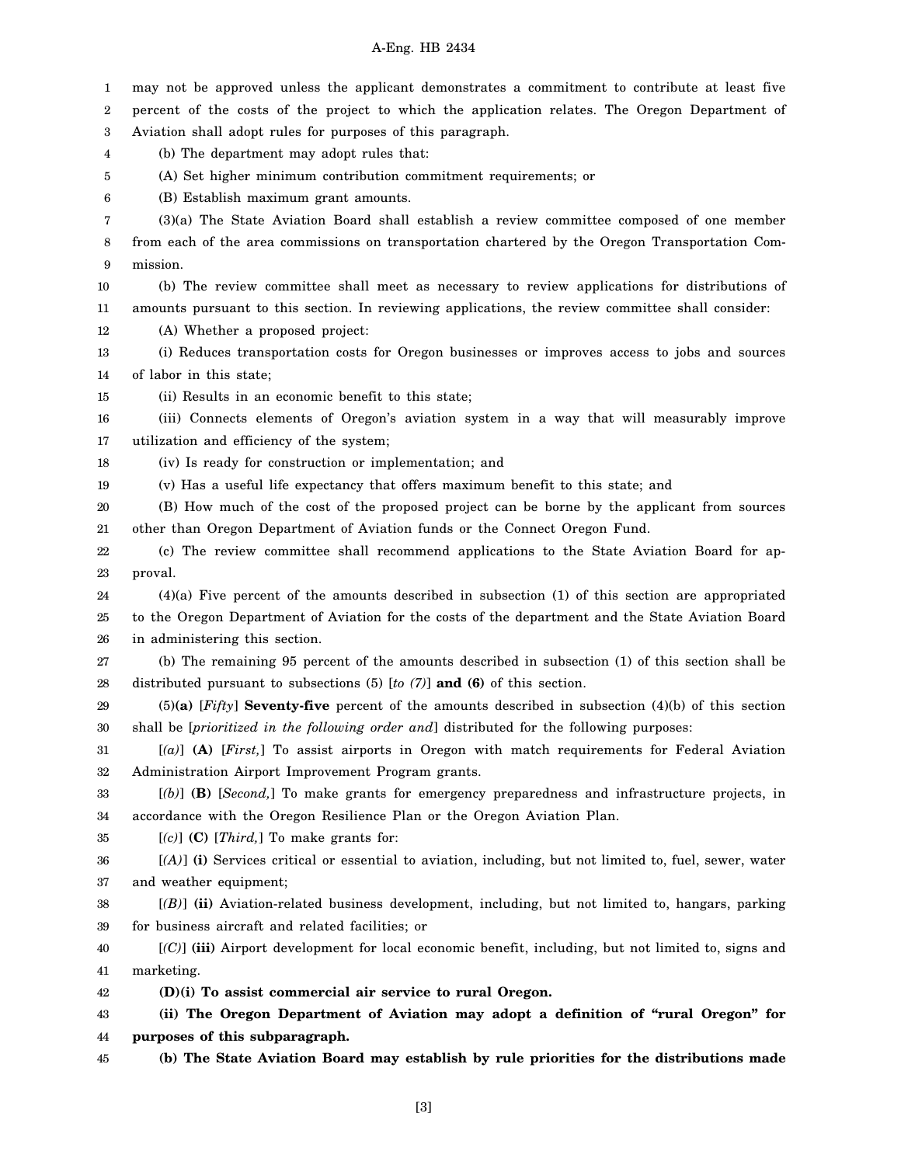### A-Eng. HB 2434

1 2 3 4 5 6 7 8 9 10 11 12 13 14 15 16 17 18 19 20 21 22 23 24 25 26 27 28 29 30 31 32 33 34 35 36 37 38 39 40 41 42 43 44 45 may not be approved unless the applicant demonstrates a commitment to contribute at least five percent of the costs of the project to which the application relates. The Oregon Department of Aviation shall adopt rules for purposes of this paragraph. (b) The department may adopt rules that: (A) Set higher minimum contribution commitment requirements; or (B) Establish maximum grant amounts. (3)(a) The State Aviation Board shall establish a review committee composed of one member from each of the area commissions on transportation chartered by the Oregon Transportation Commission. (b) The review committee shall meet as necessary to review applications for distributions of amounts pursuant to this section. In reviewing applications, the review committee shall consider: (A) Whether a proposed project: (i) Reduces transportation costs for Oregon businesses or improves access to jobs and sources of labor in this state; (ii) Results in an economic benefit to this state; (iii) Connects elements of Oregon's aviation system in a way that will measurably improve utilization and efficiency of the system; (iv) Is ready for construction or implementation; and (v) Has a useful life expectancy that offers maximum benefit to this state; and (B) How much of the cost of the proposed project can be borne by the applicant from sources other than Oregon Department of Aviation funds or the Connect Oregon Fund. (c) The review committee shall recommend applications to the State Aviation Board for approval. (4)(a) Five percent of the amounts described in subsection (1) of this section are appropriated to the Oregon Department of Aviation for the costs of the department and the State Aviation Board in administering this section. (b) The remaining 95 percent of the amounts described in subsection (1) of this section shall be distributed pursuant to subsections (5) [*to (7)*] **and (6)** of this section. (5)**(a)** [*Fifty*] **Seventy-five** percent of the amounts described in subsection (4)(b) of this section shall be [*prioritized in the following order and*] distributed for the following purposes: [*(a)*] **(A)** [*First,*] To assist airports in Oregon with match requirements for Federal Aviation Administration Airport Improvement Program grants. [*(b)*] **(B)** [*Second,*] To make grants for emergency preparedness and infrastructure projects, in accordance with the Oregon Resilience Plan or the Oregon Aviation Plan. [*(c)*] **(C)** [*Third,*] To make grants for: [*(A)*] **(i)** Services critical or essential to aviation, including, but not limited to, fuel, sewer, water and weather equipment; [*(B)*] **(ii)** Aviation-related business development, including, but not limited to, hangars, parking for business aircraft and related facilities; or [*(C)*] **(iii)** Airport development for local economic benefit, including, but not limited to, signs and marketing. **(D)(i) To assist commercial air service to rural Oregon. (ii) The Oregon Department of Aviation may adopt a definition of "rural Oregon" for purposes of this subparagraph. (b) The State Aviation Board may establish by rule priorities for the distributions made**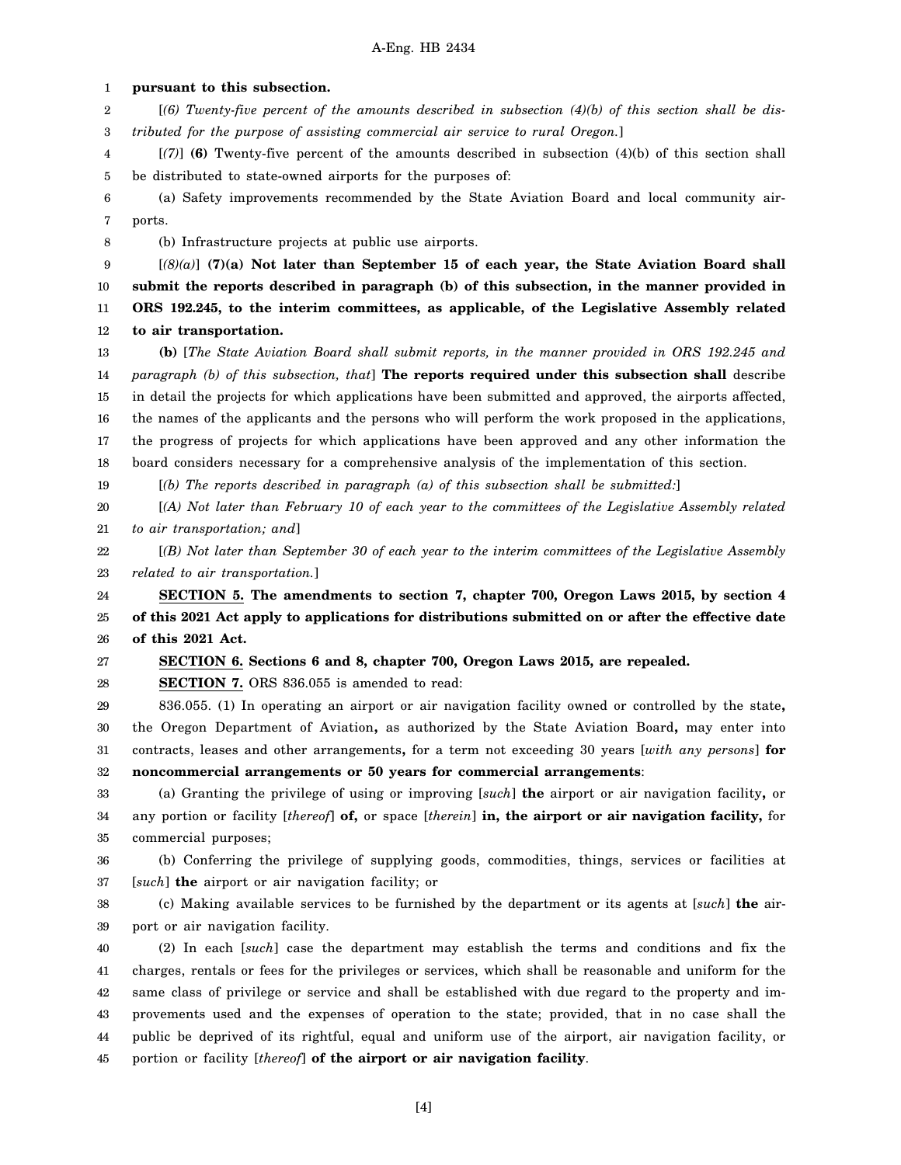1 2 3 4 5 6 7 8 9 10 11 12 13 14 15 16 17 18 19 20 21 22 23 24 25 26 27 28 29 30 31 32 33 34 35 36 37 38 39 40 41 42 43 44 **pursuant to this subsection.** [*(6) Twenty-five percent of the amounts described in subsection (4)(b) of this section shall be distributed for the purpose of assisting commercial air service to rural Oregon.*] [*(7)*] **(6)** Twenty-five percent of the amounts described in subsection (4)(b) of this section shall be distributed to state-owned airports for the purposes of: (a) Safety improvements recommended by the State Aviation Board and local community airports. (b) Infrastructure projects at public use airports. [*(8)(a)*] **(7)(a) Not later than September 15 of each year, the State Aviation Board shall submit the reports described in paragraph (b) of this subsection, in the manner provided in ORS 192.245, to the interim committees, as applicable, of the Legislative Assembly related to air transportation. (b)** [*The State Aviation Board shall submit reports, in the manner provided in ORS 192.245 and paragraph (b) of this subsection, that*] **The reports required under this subsection shall** describe in detail the projects for which applications have been submitted and approved, the airports affected, the names of the applicants and the persons who will perform the work proposed in the applications, the progress of projects for which applications have been approved and any other information the board considers necessary for a comprehensive analysis of the implementation of this section. [*(b) The reports described in paragraph (a) of this subsection shall be submitted:*] [*(A) Not later than February 10 of each year to the committees of the Legislative Assembly related to air transportation; and*] [*(B) Not later than September 30 of each year to the interim committees of the Legislative Assembly related to air transportation.*] **SECTION 5. The amendments to section 7, chapter 700, Oregon Laws 2015, by section 4 of this 2021 Act apply to applications for distributions submitted on or after the effective date of this 2021 Act. SECTION 6. Sections 6 and 8, chapter 700, Oregon Laws 2015, are repealed. SECTION 7.** ORS 836.055 is amended to read: 836.055. (1) In operating an airport or air navigation facility owned or controlled by the state**,** the Oregon Department of Aviation**,** as authorized by the State Aviation Board**,** may enter into contracts, leases and other arrangements**,** for a term not exceeding 30 years [*with any persons*] **for noncommercial arrangements or 50 years for commercial arrangements**: (a) Granting the privilege of using or improving [*such*] **the** airport or air navigation facility**,** or any portion or facility [*thereof*] **of,** or space [*therein*] **in, the airport or air navigation facility,** for commercial purposes; (b) Conferring the privilege of supplying goods, commodities, things, services or facilities at [*such*] **the** airport or air navigation facility; or (c) Making available services to be furnished by the department or its agents at [*such*] **the** airport or air navigation facility. (2) In each [*such*] case the department may establish the terms and conditions and fix the charges, rentals or fees for the privileges or services, which shall be reasonable and uniform for the same class of privilege or service and shall be established with due regard to the property and improvements used and the expenses of operation to the state; provided, that in no case shall the public be deprived of its rightful, equal and uniform use of the airport, air navigation facility, or

45 portion or facility [*thereof*] **of the airport or air navigation facility**.

[4]